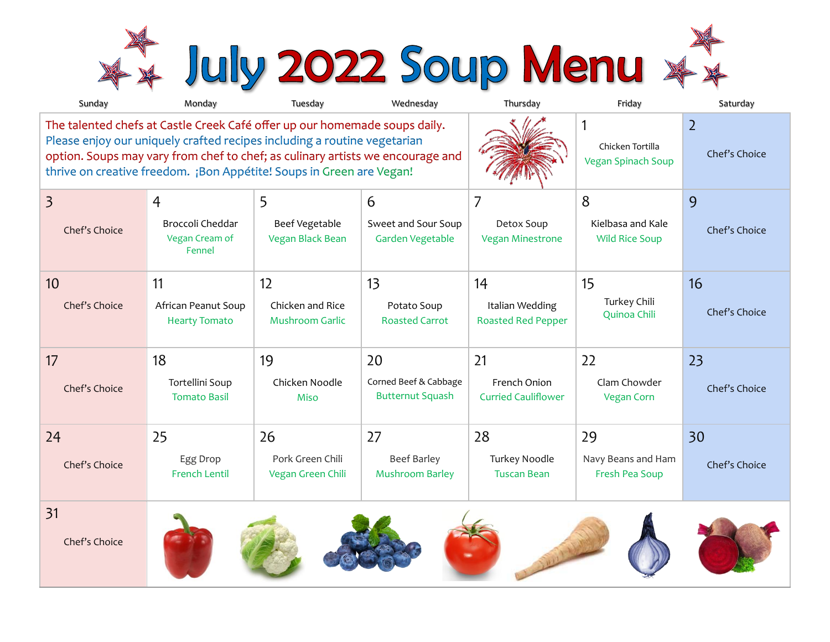\*\* July 2022 Soup Menu \*\*

| Sunday                                                                                                                                                                                                                                                                                                           | Monday                                       | Tuesday                                    | Wednesday                                        | Thursday                                     | Friday                                             | Saturday                        |
|------------------------------------------------------------------------------------------------------------------------------------------------------------------------------------------------------------------------------------------------------------------------------------------------------------------|----------------------------------------------|--------------------------------------------|--------------------------------------------------|----------------------------------------------|----------------------------------------------------|---------------------------------|
| The talented chefs at Castle Creek Café offer up our homemade soups daily.<br>Please enjoy our uniquely crafted recipes including a routine vegetarian<br>option. Soups may vary from chef to chef; as culinary artists we encourage and<br>thrive on creative freedom. ¡Bon Appétite! Soups in Green are Vegan! |                                              |                                            |                                                  |                                              | 1<br>Chicken Tortilla<br><b>Vegan Spinach Soup</b> | $\overline{2}$<br>Chef's Choice |
| $\overline{3}$                                                                                                                                                                                                                                                                                                   | 4                                            | 5                                          | 6                                                | 7                                            | 8                                                  | 9                               |
| Chef's Choice                                                                                                                                                                                                                                                                                                    | Broccoli Cheddar<br>Vegan Cream of<br>Fennel | Beef Vegetable<br><b>Vegan Black Bean</b>  | Sweet and Sour Soup<br>Garden Vegetable          | Detox Soup<br><b>Vegan Minestrone</b>        | Kielbasa and Kale<br><b>Wild Rice Soup</b>         | Chef's Choice                   |
| 10                                                                                                                                                                                                                                                                                                               | 11                                           | 12                                         | 13                                               | 14                                           | 15                                                 | 16                              |
| Chef's Choice                                                                                                                                                                                                                                                                                                    | African Peanut Soup<br><b>Hearty Tomato</b>  | Chicken and Rice<br><b>Mushroom Garlic</b> | Potato Soup<br><b>Roasted Carrot</b>             | Italian Wedding<br><b>Roasted Red Pepper</b> | Turkey Chili<br>Quinoa Chili                       | Chef's Choice                   |
| 17                                                                                                                                                                                                                                                                                                               | 18                                           | 19                                         | 20                                               | 21                                           | 22                                                 | 23                              |
| Chef's Choice                                                                                                                                                                                                                                                                                                    | Tortellini Soup<br><b>Tomato Basil</b>       | Chicken Noodle<br>Miso                     | Corned Beef & Cabbage<br><b>Butternut Squash</b> | French Onion<br><b>Curried Cauliflower</b>   | Clam Chowder<br><b>Vegan Corn</b>                  | Chef's Choice                   |
| 24                                                                                                                                                                                                                                                                                                               | 25                                           | 26                                         | 27                                               | 28                                           | 29                                                 | 30                              |
| Chef's Choice                                                                                                                                                                                                                                                                                                    | Egg Drop<br><b>French Lentil</b>             | Pork Green Chili<br>Vegan Green Chili      | <b>Beef Barley</b><br><b>Mushroom Barley</b>     | Turkey Noodle<br><b>Tuscan Bean</b>          | Navy Beans and Ham<br>Fresh Pea Soup               | Chef's Choice                   |
| 31<br>Chef's Choice                                                                                                                                                                                                                                                                                              |                                              |                                            |                                                  |                                              |                                                    |                                 |